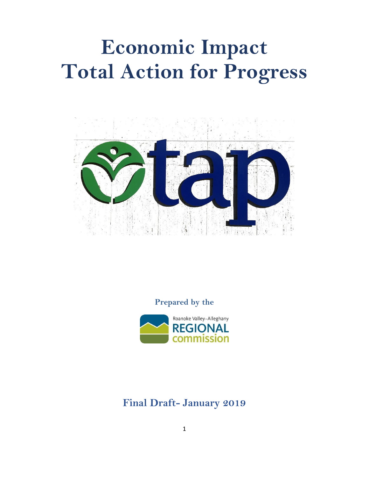# **Economic Impact Total Action for Progress**



**Prepared by the**



**Final Draft- January 2019**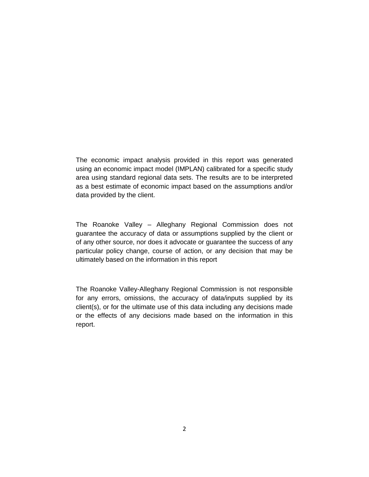The economic impact analysis provided in this report was generated using an economic impact model (IMPLAN) calibrated for a specific study area using standard regional data sets. The results are to be interpreted as a best estimate of economic impact based on the assumptions and/or data provided by the client.

The Roanoke Valley – Alleghany Regional Commission does not guarantee the accuracy of data or assumptions supplied by the client or of any other source, nor does it advocate or guarantee the success of any particular policy change, course of action, or any decision that may be ultimately based on the information in this report

The Roanoke Valley-Alleghany Regional Commission is not responsible for any errors, omissions, the accuracy of data/inputs supplied by its client(s), or for the ultimate use of this data including any decisions made or the effects of any decisions made based on the information in this report.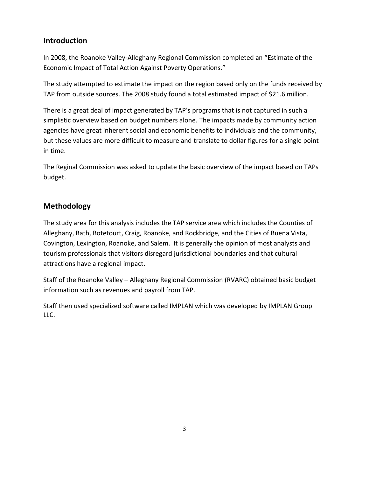## **Introduction**

In 2008, the Roanoke Valley-Alleghany Regional Commission completed an "Estimate of the Economic Impact of Total Action Against Poverty Operations."

The study attempted to estimate the impact on the region based only on the funds received by TAP from outside sources. The 2008 study found a total estimated impact of \$21.6 million.

There is a great deal of impact generated by TAP's programs that is not captured in such a simplistic overview based on budget numbers alone. The impacts made by community action agencies have great inherent social and economic benefits to individuals and the community, but these values are more difficult to measure and translate to dollar figures for a single point in time.

The Reginal Commission was asked to update the basic overview of the impact based on TAPs budget.

## **Methodology**

The study area for this analysis includes the TAP service area which includes the Counties of Alleghany, Bath, Botetourt, Craig, Roanoke, and Rockbridge, and the Cities of Buena Vista, Covington, Lexington, Roanoke, and Salem. It is generally the opinion of most analysts and tourism professionals that visitors disregard jurisdictional boundaries and that cultural attractions have a regional impact.

Staff of the Roanoke Valley – Alleghany Regional Commission (RVARC) obtained basic budget information such as revenues and payroll from TAP.

Staff then used specialized software called IMPLAN which was developed by IMPLAN Group LLC.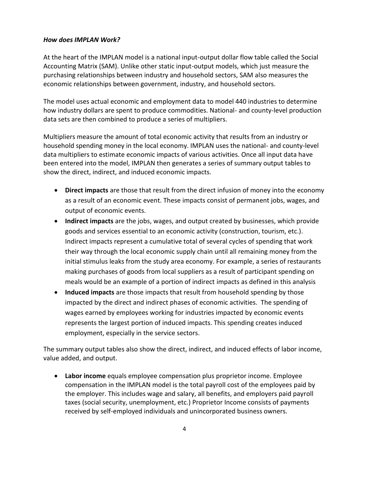### *How does IMPLAN Work?*

At the heart of the IMPLAN model is a national input-output dollar flow table called the Social Accounting Matrix (SAM). Unlike other static input-output models, which just measure the purchasing relationships between industry and household sectors, SAM also measures the economic relationships between government, industry, and household sectors.

The model uses actual economic and employment data to model 440 industries to determine how industry dollars are spent to produce commodities. National- and county-level production data sets are then combined to produce a series of multipliers.

Multipliers measure the amount of total economic activity that results from an industry or household spending money in the local economy. IMPLAN uses the national- and county-level data multipliers to estimate economic impacts of various activities. Once all input data have been entered into the model, IMPLAN then generates a series of summary output tables to show the direct, indirect, and induced economic impacts.

- **Direct impacts** are those that result from the direct infusion of money into the economy as a result of an economic event. These impacts consist of permanent jobs, wages, and output of economic events.
- **Indirect impacts** are the jobs, wages, and output created by businesses, which provide goods and services essential to an economic activity (construction, tourism, etc.). Indirect impacts represent a cumulative total of several cycles of spending that work their way through the local economic supply chain until all remaining money from the initial stimulus leaks from the study area economy. For example, a series of restaurants making purchases of goods from local suppliers as a result of participant spending on meals would be an example of a portion of indirect impacts as defined in this analysis
- **Induced impacts** are those impacts that result from household spending by those impacted by the direct and indirect phases of economic activities. The spending of wages earned by employees working for industries impacted by economic events represents the largest portion of induced impacts. This spending creates induced employment, especially in the service sectors.

The summary output tables also show the direct, indirect, and induced effects of labor income, value added, and output.

 **Labor income** equals employee compensation plus proprietor income. Employee compensation in the IMPLAN model is the total payroll cost of the employees paid by the employer. This includes wage and salary, all benefits, and employers paid payroll taxes (social security, unemployment, etc.) Proprietor Income consists of payments received by self-employed individuals and unincorporated business owners.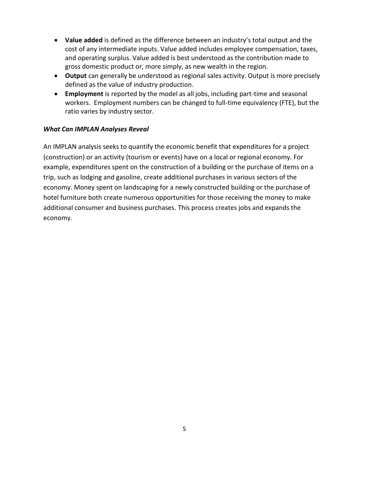- **Value added** is defined as the difference between an industry's total output and the cost of any intermediate inputs. Value added includes employee compensation, taxes, and operating surplus. Value added is best understood as the contribution made to gross domestic product or, more simply, as new wealth in the region.
- **Output** can generally be understood as regional sales activity. Output is more precisely defined as the value of industry production.
- **Employment** is reported by the model as all jobs, including part-time and seasonal workers. Employment numbers can be changed to full-time equivalency (FTE), but the ratio varies by industry sector.

### *What Can IMPLAN Analyses Reveal*

An IMPLAN analysis seeks to quantify the economic benefit that expenditures for a project (construction) or an activity (tourism or events) have on a local or regional economy. For example, expenditures spent on the construction of a building or the purchase of items on a trip, such as lodging and gasoline, create additional purchases in various sectors of the economy. Money spent on landscaping for a newly constructed building or the purchase of hotel furniture both create numerous opportunities for those receiving the money to make additional consumer and business purchases. This process creates jobs and expands the economy.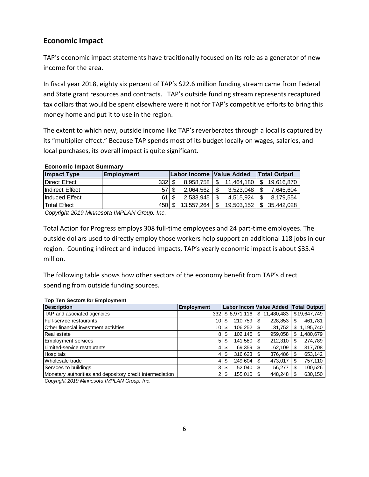## **Economic Impact**

TAP's economic impact statements have traditionally focused on its role as a generator of new income for the area.

In fiscal year 2018, eighty six percent of TAP's \$22.6 million funding stream came from Federal and State grant resources and contracts. TAP's outside funding stream represents recaptured tax dollars that would be spent elsewhere were it not for TAP's competitive efforts to bring this money home and put it to use in the region.

The extent to which new, outside income like TAP's reverberates through a local is captured by its "multiplier effect." Because TAP spends most of its budget locally on wages, salaries, and local purchases, its overall impact is quite significant.

#### **Economic Impact Summary**

| <b>Impact Type</b>  | <b>Employment</b> |      | Labor Income Value Added |    |            |     | <b>Total Output</b> |
|---------------------|-------------------|------|--------------------------|----|------------|-----|---------------------|
| Direct Effect       |                   | 3321 | 8.958.758                | ß. | 11.464.180 | S   | 19.616.870          |
| Indirect Effect     |                   | 57 S | 2.064.562                |    | 3.523.048  | S   | 7.645.604           |
| Induced Effect      |                   | 61 S | $2.533.945$ S            |    | 4.515.924  | \$  | 8.179.554           |
| <b>Total Effect</b> |                   | 450  | 13.557.264               |    | 19.503.152 | \$. | 35.442.028          |

*Copyright 2019 Minnesota IMPLAN Group, Inc.*

Total Action for Progress employs 308 full-time employees and 24 part-time employees. The outside dollars used to directly employ those workers help support an additional 118 jobs in our region. Counting indirect and induced impacts, TAP's yearly economic impact is about \$35.4 million.

The following table shows how other sectors of the economy benefit from TAP's direct spending from outside funding sources.

#### **Top Ten Sectors for Employment**

| <b>Description</b>                                        | <b>Employment</b> |     |             |    | Labor Incom Value Added |   | <b>Total Output</b> |
|-----------------------------------------------------------|-------------------|-----|-------------|----|-------------------------|---|---------------------|
| TAP and asociated agencies                                | 332               |     | \$8.971.116 | \$ | 11.480.483              |   | \$19,647,749        |
| <b>Full-service restaurants</b>                           | 10 <sub>1</sub>   | S   | 210.759     |    | 228,853                 |   | 461,781             |
| Other financial investment activities                     | 10 <sub>1</sub>   | \$. | 106,252     |    | 131,752                 | S | 1,195,740           |
| Real estate                                               | 8                 | S   | 102,146     |    | 959,058                 |   | ,480,679            |
| <b>Employment services</b>                                | 5                 | S   | 141,580     |    | 212,310                 |   | 274,789             |
| Limited-service restaurants                               | 4                 | S   | 69,359      |    | 162,109                 |   | 317,708             |
| Hospitals                                                 | 4                 | S   | 316,623     | S  | 376,486                 |   | 653,142             |
| Wholesale trade                                           | 4                 | \$. | 249,604     |    | 473.017                 |   | 757,110             |
| Services to buildings                                     | 3                 | S   | 52.040      |    | 56.277                  |   | 100,526             |
| Monetary authorities and depository credit intermediation | $\overline{2}$    | S   | 155,010     |    | 448.248                 |   | 630,150             |

*Copyright 2019 Minnesota IMPLAN Group, Inc.*